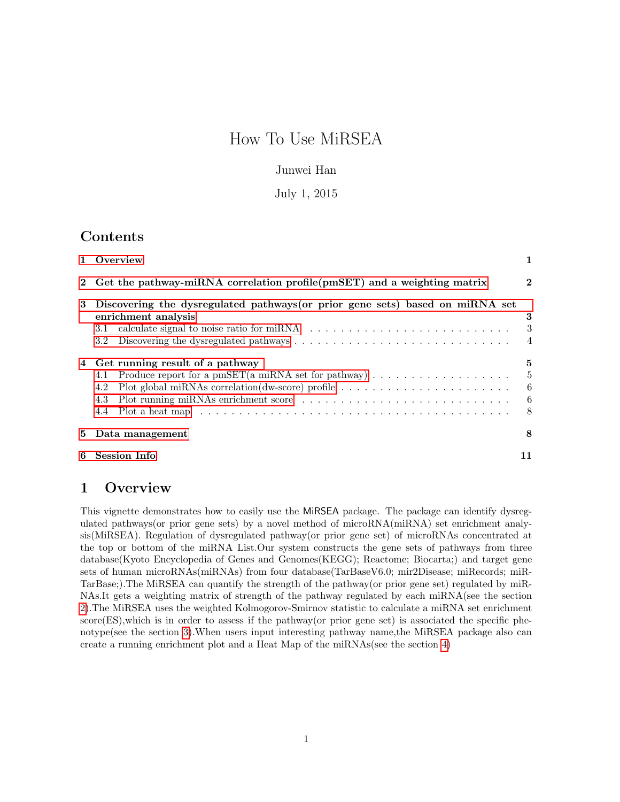# How To Use MiRSEA

### Junwei Han

### July 1, 2015

## Contents

|                                                                            | 1 Overview                                                                                                                                                                                                                                                                                                                                                                                         | 1                                           |  |  |  |  |  |  |
|----------------------------------------------------------------------------|----------------------------------------------------------------------------------------------------------------------------------------------------------------------------------------------------------------------------------------------------------------------------------------------------------------------------------------------------------------------------------------------------|---------------------------------------------|--|--|--|--|--|--|
| 2 Get the pathway-miRNA correlation profile (pmSET) and a weighting matrix |                                                                                                                                                                                                                                                                                                                                                                                                    |                                             |  |  |  |  |  |  |
| 3                                                                          | Discovering the dysregulated pathways (or prior gene sets) based on miRNA set<br>enrichment analysis<br>3.1<br>3.2                                                                                                                                                                                                                                                                                 | 3<br>3<br>$\overline{4}$                    |  |  |  |  |  |  |
| 4                                                                          | Get running result of a pathway<br>4.1<br>Plot global miRNAs correlation(dw-score) profile $\dots \dots \dots \dots \dots \dots \dots \dots$<br>4.2<br>4.3<br>Plot a heat map experience in the contract of the contract of the contract of the contract of the contract of the contract of the contract of the contract of the contract of the contract of the contract of the contract of<br>4.4 | 5<br>$-5$<br>$6\phantom{.0}6$<br>$-6$<br>-8 |  |  |  |  |  |  |
| 5                                                                          | Data management                                                                                                                                                                                                                                                                                                                                                                                    | 8                                           |  |  |  |  |  |  |
| 6                                                                          | <b>Session Info</b>                                                                                                                                                                                                                                                                                                                                                                                |                                             |  |  |  |  |  |  |

## <span id="page-0-0"></span>1 Overview

This vignette demonstrates how to easily use the MiRSEA package. The package can identify dysregulated pathways(or prior gene sets) by a novel method of microRNA(miRNA) set enrichment analysis(MiRSEA). Regulation of dysregulated pathway(or prior gene set) of microRNAs concentrated at the top or bottom of the miRNA List.Our system constructs the gene sets of pathways from three database(Kyoto Encyclopedia of Genes and Genomes(KEGG); Reactome; Biocarta;) and target gene sets of human microRNAs(miRNAs) from four database(TarBaseV6.0; mir2Disease; miRecords; miR-TarBase;).The MiRSEA can quantify the strength of the pathway(or prior gene set) regulated by miR-NAs.It gets a weighting matrix of strength of the pathway regulated by each miRNA(see the section [2\)](#page-1-0).The MiRSEA uses the weighted Kolmogorov-Smirnov statistic to calculate a miRNA set enrichment score(ES),which is in order to assess if the pathway(or prior gene set) is associated the specific phenotype(see the section [3\)](#page-2-0).When users input interesting pathway name,the MiRSEA package also can create a running enrichment plot and a Heat Map of the miRNAs(see the section [4\)](#page-4-0)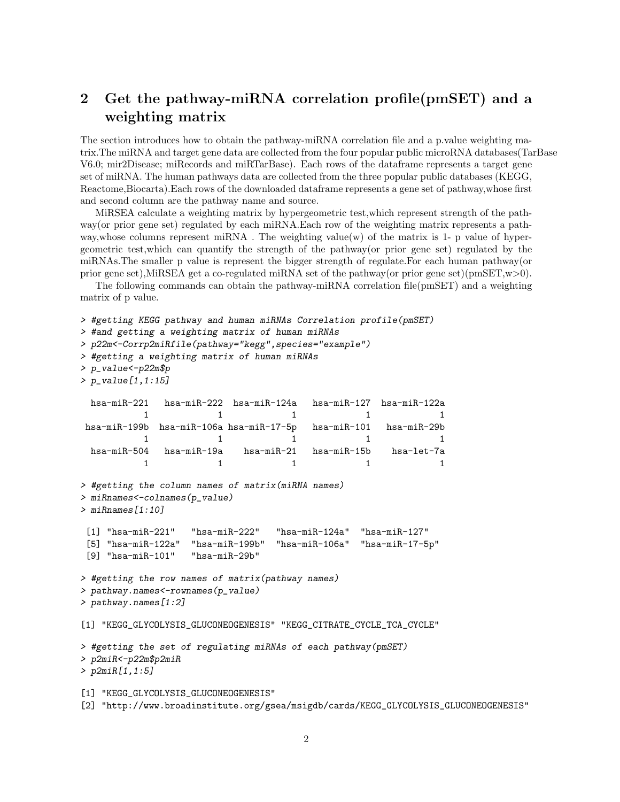## <span id="page-1-0"></span>2 Get the pathway-miRNA correlation profile(pmSET) and a weighting matrix

The section introduces how to obtain the pathway-miRNA correlation file and a p.value weighting matrix.The miRNA and target gene data are collected from the four popular public microRNA databases(TarBase V6.0; mir2Disease; miRecords and miRTarBase). Each rows of the dataframe represents a target gene set of miRNA. The human pathways data are collected from the three popular public databases (KEGG, Reactome,Biocarta).Each rows of the downloaded dataframe represents a gene set of pathway,whose first and second column are the pathway name and source.

MiRSEA calculate a weighting matrix by hypergeometric test,which represent strength of the pathway(or prior gene set) regulated by each miRNA.Each row of the weighting matrix represents a pathway, whose columns represent miRNA. The weighting value(w) of the matrix is 1- p value of hypergeometric test,which can quantify the strength of the pathway(or prior gene set) regulated by the miRNAs.The smaller p value is represent the bigger strength of regulate.For each human pathway(or prior gene set),MiRSEA get a co-regulated miRNA set of the pathway(or prior gene set)(pmSET,w>0).

The following commands can obtain the pathway-miRNA correlation file(pmSET) and a weighting matrix of p value.

```
> #getting KEGG pathway and human miRNAs Correlation profile(pmSET)
> #and getting a weighting matrix of human miRNAs
> p22m<-Corrp2miRfile(pathway="kegg",species="example")
> #getting a weighting matrix of human miRNAs
> p_value<-p22m$p
> p_value[1,1:15]
 hsa-miR-221 hsa-miR-222 hsa-miR-124a hsa-miR-127 hsa-miR-122a
          1 1 1 1 1
hsa-miR-199b hsa-miR-106a hsa-miR-17-5p hsa-miR-101 hsa-miR-29b
          1 1 1 1
 hsa-miR-504 hsa-miR-19a hsa-miR-21 hsa-miR-15b hsa-let-7a
          1 1 1 1
> #getting the column names of matrix(miRNA names)
> miRnames<-colnames(p_value)
> miRnames[1:10]
 [1] "hsa-miR-221" "hsa-miR-222" "hsa-miR-124a" "hsa-miR-127"
 [5] "hsa-miR-122a" "hsa-miR-199b" "hsa-miR-106a" "hsa-miR-17-5p"
 [9] "hsa-miR-101" "hsa-miR-29b"
> #getting the row names of matrix(pathway names)
> pathway.names<-rownames(p_value)
> pathway.names[1:2]
[1] "KEGG_GLYCOLYSIS_GLUCONEOGENESIS" "KEGG_CITRATE_CYCLE_TCA_CYCLE"
> #getting the set of regulating miRNAs of each pathway(pmSET)
> p2miR<-p22m$p2miR
> p2miR[1,1:5]
[1] "KEGG_GLYCOLYSIS_GLUCONEOGENESIS"
[2] "http://www.broadinstitute.org/gsea/msigdb/cards/KEGG_GLYCOLYSIS_GLUCONEOGENESIS"
```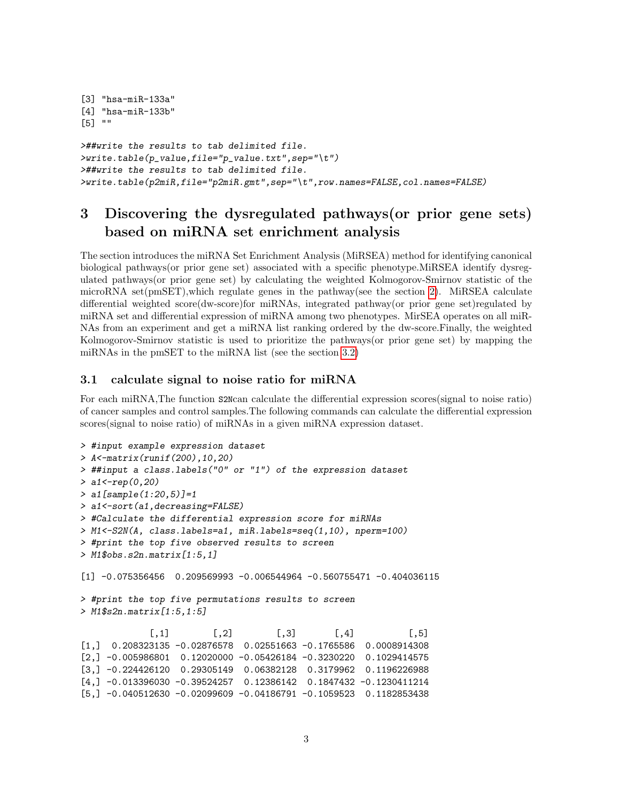```
[3] "hsa-miR-133a"
[4] "hsa-miR-133b"
[5] ""
>##write the results to tab delimited file.
\forallwrite.table(p_value,file="p_value.txt",sep="\t")
>##write the results to tab delimited file.
>write.table(p2miR,file="p2miR.gmt",sep="\t",row.names=FALSE,col.names=FALSE)
```
## <span id="page-2-0"></span>3 Discovering the dysregulated pathways(or prior gene sets) based on miRNA set enrichment analysis

The section introduces the miRNA Set Enrichment Analysis (MiRSEA) method for identifying canonical biological pathways(or prior gene set) associated with a specific phenotype.MiRSEA identify dysregulated pathways(or prior gene set) by calculating the weighted Kolmogorov-Smirnov statistic of the microRNA set(pmSET),which regulate genes in the pathway(see the section [2\)](#page-1-0). MiRSEA calculate differential weighted score(dw-score)for miRNAs, integrated pathway(or prior gene set)regulated by miRNA set and differential expression of miRNA among two phenotypes. MirSEA operates on all miR-NAs from an experiment and get a miRNA list ranking ordered by the dw-score.Finally, the weighted Kolmogorov-Smirnov statistic is used to prioritize the pathways(or prior gene set) by mapping the miRNAs in the pmSET to the miRNA list (see the section [3.2\)](#page-3-0)

#### <span id="page-2-1"></span>3.1 calculate signal to noise ratio for miRNA

For each miRNA,The function S2Ncan calculate the differential expression scores(signal to noise ratio) of cancer samples and control samples.The following commands can calculate the differential expression scores(signal to noise ratio) of miRNAs in a given miRNA expression dataset.

```
> #input example expression dataset
> A<-matrix(runif(200),10,20)
> ##input a class.labels("0" or "1") of the expression dataset
> a1 < -rep(0, 20)> a1[sample(1:20,5)]=1
> a1<-sort(a1,decreasing=FALSE)
> #Calculate the differential expression score for miRNAs
> M1<-S2N(A, class.labels=a1, miR.labels=seq(1,10), nperm=100)
> #print the top five observed results to screen
> M1$obs.s2n.matrix[1:5,1]
[1] -0.075356456 0.209569993 -0.006544964 -0.560755471 -0.404036115
> #print the top five permutations results to screen
> M1$s2n.matrix[1:5,1:5]
            [,1] [,2] [,3] [,4] [,5]
[1,] 0.208323135 -0.02876578 0.02551663 -0.1765586 0.0008914308
[2,] -0.005986801 0.12020000 -0.05426184 -0.3230220 0.1029414575
[3,] -0.224426120 0.29305149 0.06382128 0.3179962 0.1196226988
[4,] -0.013396030 -0.39524257 0.12386142 0.1847432 -0.1230411214
```
[5,] -0.040512630 -0.02099609 -0.04186791 -0.1059523 0.1182853438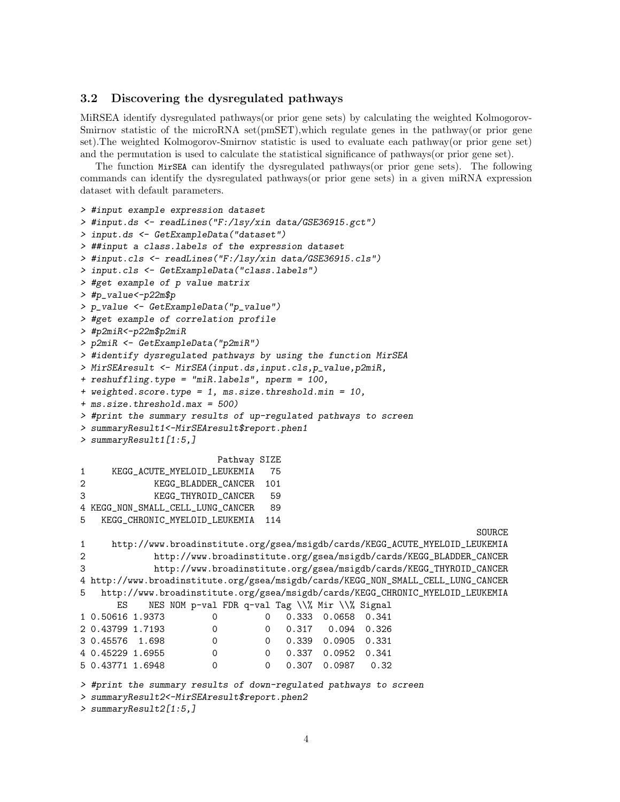#### <span id="page-3-0"></span>3.2 Discovering the dysregulated pathways

MiRSEA identify dysregulated pathways(or prior gene sets) by calculating the weighted Kolmogorov-Smirnov statistic of the microRNA set(pmSET),which regulate genes in the pathway(or prior gene set).The weighted Kolmogorov-Smirnov statistic is used to evaluate each pathway(or prior gene set) and the permutation is used to calculate the statistical significance of pathways(or prior gene set).

The function MirSEA can identify the dysregulated pathways(or prior gene sets). The following commands can identify the dysregulated pathways(or prior gene sets) in a given miRNA expression dataset with default parameters.

```
> #input example expression dataset
> #input.ds <- readLines("F:/lsy/xin data/GSE36915.gct")
> input.ds <- GetExampleData("dataset")
> ##input a class.labels of the expression dataset
> #input.cls <- readLines("F:/lsy/xin data/GSE36915.cls")
> input.cls <- GetExampleData("class.labels")
> #get example of p value matrix
> #p_value<-p22m$p
> p_value <- GetExampleData("p_value")
> #get example of correlation profile
> #p2miR<-p22m$p2miR
> p2miR <- GetExampleData("p2miR")
> #identify dysregulated pathways by using the function MirSEA
> MirSEAresult <- MirSEA(input.ds,input.cls,p_value,p2miR,
+ reshuffling.type = "miR.labels", nperm = 100,
+ weighted.score.type = 1, ms.size.threshold.min = 10,
+ ms.size.threshold.max = 500)
> #print the summary results of up-regulated pathways to screen
> summaryResult1<-MirSEAresult$report.phen1
> summaryResult1[1:5,]
                       Pathway SIZE
1 KEGG_ACUTE_MYELOID_LEUKEMIA 75
2 KEGG_BLADDER_CANCER 101
3 KEGG_THYROID_CANCER 59
4 KEGG_NON_SMALL_CELL_LUNG_CANCER 89
5 KEGG_CHRONIC_MYELOID_LEUKEMIA 114
                                                                     SOURCE
1 http://www.broadinstitute.org/gsea/msigdb/cards/KEGG_ACUTE_MYELOID_LEUKEMIA
2 http://www.broadinstitute.org/gsea/msigdb/cards/KEGG_BLADDER_CANCER
3 http://www.broadinstitute.org/gsea/msigdb/cards/KEGG_THYROID_CANCER
4 http://www.broadinstitute.org/gsea/msigdb/cards/KEGG_NON_SMALL_CELL_LUNG_CANCER
5 http://www.broadinstitute.org/gsea/msigdb/cards/KEGG_CHRONIC_MYELOID_LEUKEMIA
      ES NES NOM p-val FDR q-val Tag \\% Mir \\% Signal
1 0.50616 1.9373 0 0 0.333 0.0658 0.341
2 0.43799 1.7193 0 0 0.317 0.094 0.326
3 0.45576 1.698 0 0 0.339 0.0905 0.331
4 0.45229 1.6955 0 0 0.337 0.0952 0.341
5 0.43771 1.6948 0 0 0.307 0.0987 0.32
> #print the summary results of down-regulated pathways to screen
```

```
> summaryResult2<-MirSEAresult$report.phen2
```

```
> summaryResult2[1:5,]
```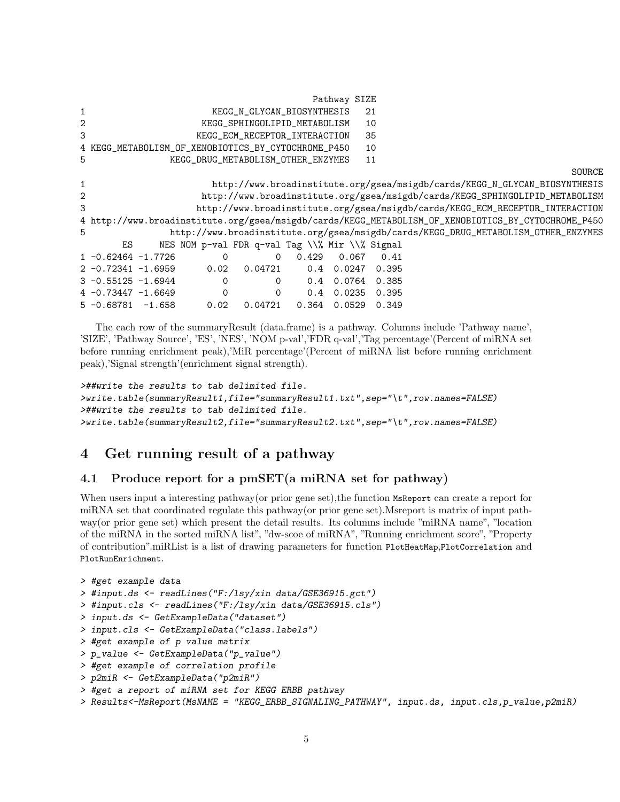|                |                                                     |                |                                                |       | Pathway SIZE       |                |                                                                                                     |
|----------------|-----------------------------------------------------|----------------|------------------------------------------------|-------|--------------------|----------------|-----------------------------------------------------------------------------------------------------|
| $\mathbf{1}$   |                                                     |                | KEGG_N_GLYCAN_BIOSYNTHESIS                     |       |                    | 21             |                                                                                                     |
| 2              |                                                     |                | KEGG_SPHINGOLIPID_METABOLISM                   |       |                    | 10             |                                                                                                     |
| 3              |                                                     |                | KEGG_ECM_RECEPTOR_INTERACTION                  |       |                    | 35             |                                                                                                     |
|                | 4 KEGG_METABOLISM_OF_XENOBIOTICS_BY_CYTOCHROME_P450 |                |                                                |       |                    | 10             |                                                                                                     |
| 5              |                                                     |                | KEGG_DRUG_METABOLISM_OTHER_ENZYMES             |       |                    | 11             |                                                                                                     |
|                |                                                     |                |                                                |       |                    |                | SOURCE                                                                                              |
| $\mathbf{1}$   |                                                     |                |                                                |       |                    |                | http://www.broadinstitute.org/gsea/msigdb/cards/KEGG_N_GLYCAN_BIOSYNTHESIS                          |
| $\overline{2}$ |                                                     |                |                                                |       |                    |                | http://www.broadinstitute.org/gsea/msigdb/cards/KEGG_SPHINGOLIPID_METABOLISM                        |
| 3              |                                                     |                |                                                |       |                    |                | http://www.broadinstitute.org/gsea/msigdb/cards/KEGG_ECM_RECEPTOR_INTERACTION                       |
|                |                                                     |                |                                                |       |                    |                | 4 http://www.broadinstitute.org/gsea/msigdb/cards/KEGG_METABOLISM_OF_XENOBIOTICS_BY_CYTOCHROME_P450 |
| 5              |                                                     |                |                                                |       |                    |                | http://www.broadinstitute.org/gsea/msigdb/cards/KEGG_DRUG_METABOLISM_OTHER_ENZYMES                  |
|                | ES                                                  |                | NES NOM p-val FDR q-val Tag \\% Mir \\% Signal |       |                    |                |                                                                                                     |
|                | $1 - 0.62464 - 1.7726$                              | $\Omega$       | 0                                              | 0.429 | 0.067              | 0.41           |                                                                                                     |
|                | $2 -0.72341 -1.6959$                                | 0.02           | 0.04721                                        |       | $0.4 \quad 0.0247$ | 0.395          |                                                                                                     |
|                | $3 - 0.55125 - 1.6944$                              | $\Omega$       | $\Omega$                                       |       | 0.4 0.0764         | 0.385          |                                                                                                     |
|                | $4 -0.73447 -1.6649$                                | $\overline{0}$ | $\Omega$                                       | 0.4   |                    | $0.0235$ 0.395 |                                                                                                     |
|                | $5 -0.68781 -1.658$                                 | 0.02           | 0.04721                                        |       | $0.364$ 0.0529     | 0.349          |                                                                                                     |

The each row of the summaryResult (data.frame) is a pathway. Columns include 'Pathway name', 'SIZE', 'Pathway Source', 'ES', 'NES', 'NOM p-val','FDR q-val','Tag percentage'(Percent of miRNA set before running enrichment peak),'MiR percentage'(Percent of miRNA list before running enrichment peak),'Signal strength'(enrichment signal strength).

```
>##write the results to tab delimited file.
>write.table(summaryResult1,file="summaryResult1.txt",sep="\t",row.names=FALSE)
>##write the results to tab delimited file.
>write.table(summaryResult2,file="summaryResult2.txt",sep="\t",row.names=FALSE)
```
## <span id="page-4-0"></span>4 Get running result of a pathway

### <span id="page-4-1"></span>4.1 Produce report for a pmSET(a miRNA set for pathway)

When users input a interesting pathway (or prior gene set), the function MsReport can create a report for miRNA set that coordinated regulate this pathway(or prior gene set).Msreport is matrix of input pathway(or prior gene set) which present the detail results. Its columns include "miRNA name", "location of the miRNA in the sorted miRNA list", "dw-scoe of miRNA", "Running enrichment score", "Property of contribution".miRList is a list of drawing parameters for function PlotHeatMap,PlotCorrelation and PlotRunEnrichment.

```
> #get example data
> #input.ds <- readLines("F:/lsy/xin data/GSE36915.gct")
> #input.cls <- readLines("F:/lsy/xin data/GSE36915.cls")
> input.ds <- GetExampleData("dataset")
> input.cls <- GetExampleData("class.labels")
> #get example of p value matrix
> p_value <- GetExampleData("p_value")
> #get example of correlation profile
> p2miR <- GetExampleData("p2miR")
> #get a report of miRNA set for KEGG ERBB pathway
```

```
> Results<-MsReport(MsNAME = "KEGG_ERBB_SIGNALING_PATHWAY", input.ds, input.cls,p_value,p2miR)
```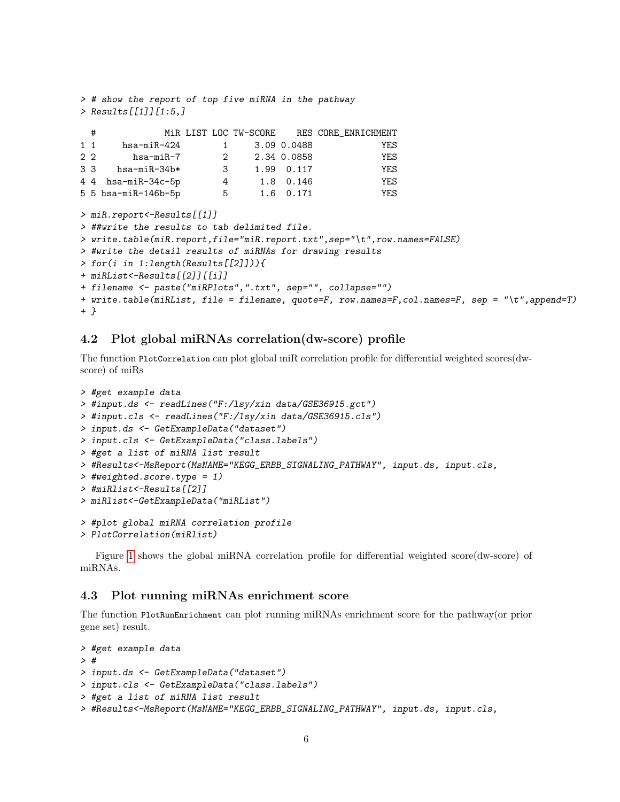```
> # show the report of top five miRNA in the pathway
> Results[[1]][1:5,]
 # MiR LIST LOC TW-SCORE RES CORE_ENRICHMENT
1 1 hsa-miR-424 1 3.09 0.0488 YES
2 2 hsa-miR-7 2 2.34 0.0858 YES
3 3 hsa-miR-34b* 3 1.99 0.117 YES
4 4 hsa-miR-34c-5p 4 1.8 0.146 YES
5 5 hsa-miR-146b-5p 5 1.6 0.171 YES
> miR.report<-Results[[1]]
> ##write the results to tab delimited file.
> write.table(miR.report,file="miR.report.txt",sep="\t",row.names=FALSE)
> #write the detail results of miRNAs for drawing results
> for(i in 1:length(Results[[2]])){
+ miRList<-Results[[2]][[i]]
+ filename <- paste("miRPlots",".txt", sep="", collapse="")
+ write.table(miRList, file = filename, quote=F, row.names=F,col.names=F, sep = "\t",append=T)
+ }
```
### <span id="page-5-0"></span>4.2 Plot global miRNAs correlation(dw-score) profile

The function PlotCorrelation can plot global miR correlation profile for differential weighted scores(dwscore) of miRs

```
> #get example data
> #input.ds <- readLines("F:/lsy/xin data/GSE36915.gct")
> #input.cls <- readLines("F:/lsy/xin data/GSE36915.cls")
> input.ds <- GetExampleData("dataset")
> input.cls <- GetExampleData("class.labels")
> #get a list of miRNA list result
> #Results<-MsReport(MsNAME="KEGG_ERBB_SIGNALING_PATHWAY", input.ds, input.cls,
> #weighted.score.type = 1)
> #miRlist<-Results[[2]]
> miRlist<-GetExampleData("miRList")
> #plot global miRNA correlation profile
> PlotCorrelation(miRlist)
```
Figure [1](#page-6-0) shows the global miRNA correlation profile for differential weighted score(dw-score) of miRNAs.

#### <span id="page-5-1"></span>4.3 Plot running miRNAs enrichment score

The function PlotRunEnrichment can plot running miRNAs enrichment score for the pathway(or prior gene set) result.

```
> #get example data
> #
> input.ds <- GetExampleData("dataset")
> input.cls <- GetExampleData("class.labels")
> #get a list of miRNA list result
> #Results<-MsReport(MsNAME="KEGG_ERBB_SIGNALING_PATHWAY", input.ds, input.cls,
```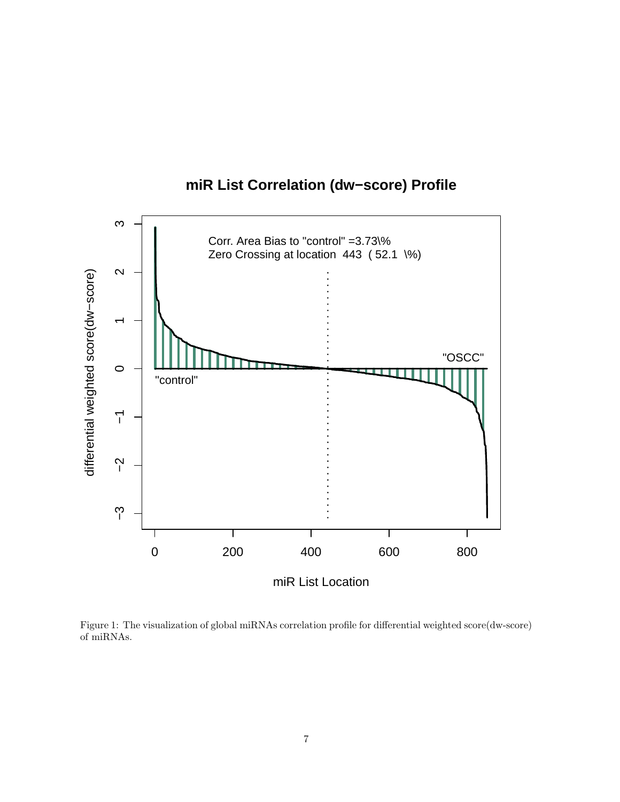

**miR List Correlation (dw−score) Profile**

<span id="page-6-0"></span>Figure 1: The visualization of global miRNAs correlation profile for differential weighted score(dw-score) of miRNAs.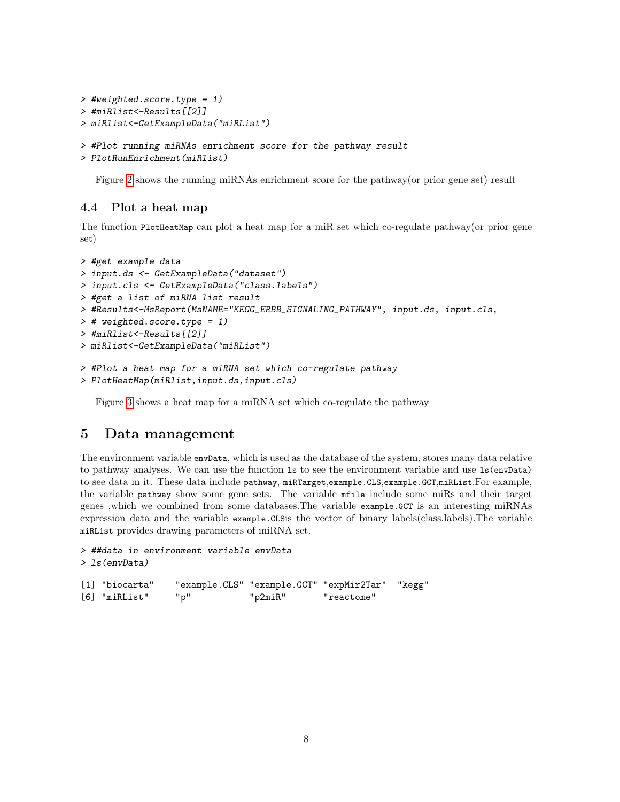```
> #weighted.score.type = 1)
> #miRlist<-Results[[2]]
> miRlist<-GetExampleData("miRList")
> #Plot running miRNAs enrichment score for the pathway result
> PlotRunEnrichment(miRlist)
```
Figure [2](#page-8-0) shows the running miRNAs enrichment score for the pathway(or prior gene set) result

### <span id="page-7-0"></span>4.4 Plot a heat map

The function PlotHeatMap can plot a heat map for a miR set which co-regulate pathway(or prior gene set)

```
> #get example data
> input.ds <- GetExampleData("dataset")
> input.cls <- GetExampleData("class.labels")
> #get a list of miRNA list result
> #Results<-MsReport(MsNAME="KEGG_ERBB_SIGNALING_PATHWAY", input.ds, input.cls,
> # weighted.score.type = 1)
> #miRlist<-Results[[2]]
> miRlist<-GetExampleData("miRList")
> #Plot a heat map for a miRNA set which co-regulate pathway
> PlotHeatMap(miRlist,input.ds,input.cls)
```
Figure [3](#page-9-0) shows a heat map for a miRNA set which co-regulate the pathway

### <span id="page-7-1"></span>5 Data management

The environment variable envData, which is used as the database of the system, stores many data relative to pathway analyses. We can use the function ls to see the environment variable and use ls(envData) to see data in it. These data include pathway, miRTarget,example.CLS,example.GCT,miRList.For example, the variable pathway show some gene sets. The variable mfile include some miRs and their target genes ,which we combined from some databases.The variable example.GCT is an interesting miRNAs expression data and the variable example.CLSis the vector of binary labels(class.labels).The variable miRList provides drawing parameters of miRNA set.

```
> ##data in environment variable envData
> ls(envData)
[1] "biocarta" "example.CLS" "example.GCT" "expMir2Tar" "kegg"
[6] "miRList" "p" "p2miR" "reactome"
```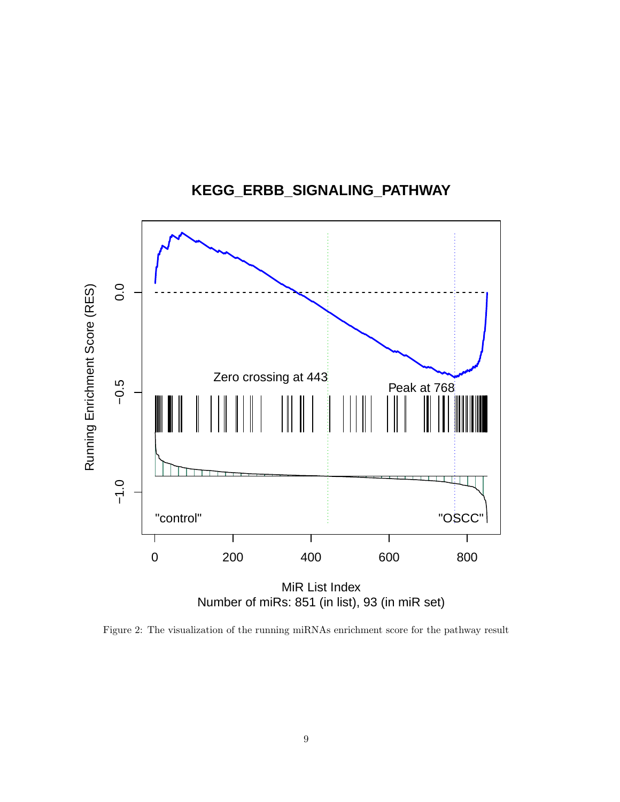

**KEGG\_ERBB\_SIGNALING\_PATHWAY**

<span id="page-8-0"></span>Figure 2: The visualization of the running miRNAs enrichment score for the pathway result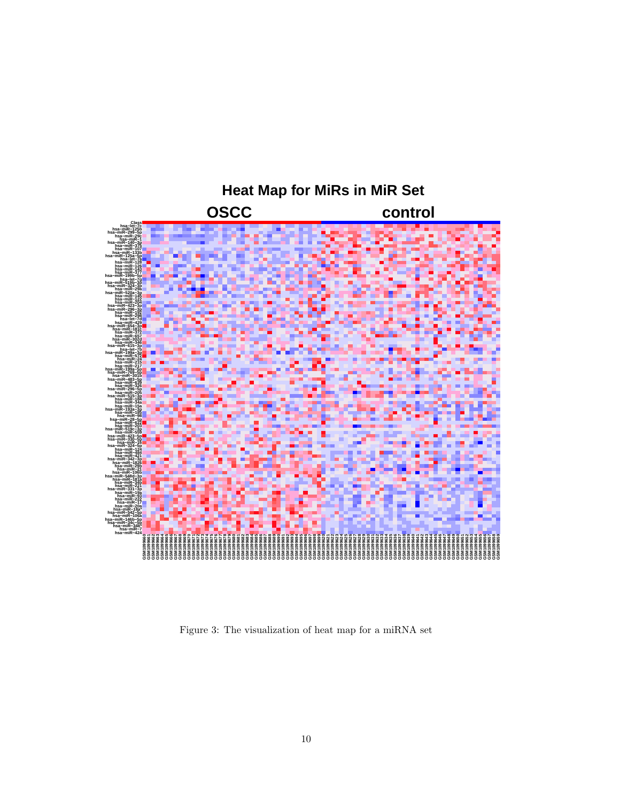

<span id="page-9-0"></span>Figure 3: The visualization of heat map for a miRNA set